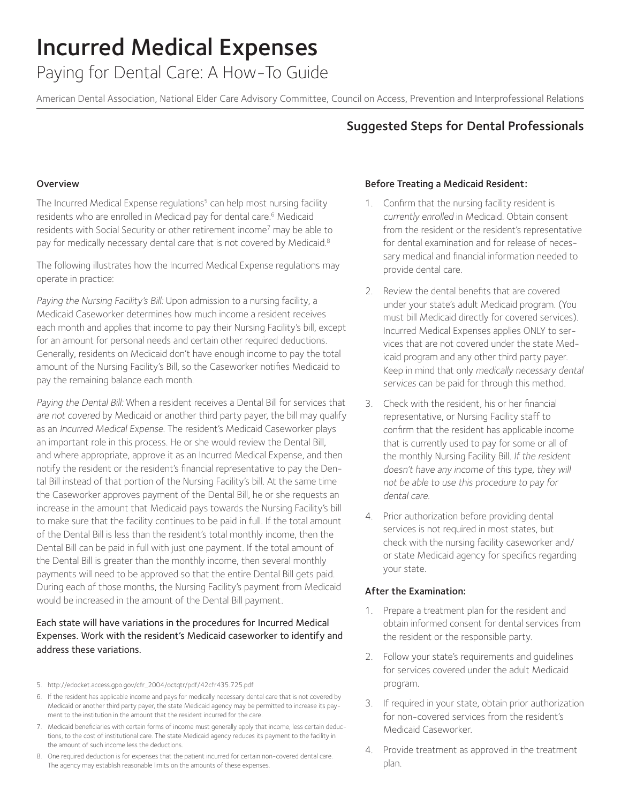Paying for Dental Care: A How-To Guide

American Dental Association, National Elder Care Advisory Committee, Council on Access, Prevention and Interprofessional Relations

## Suggested Steps for Dental Professionals

#### Overview

The Incurred Medical Expense regulations<sup>5</sup> can help most nursing facility residents who are enrolled in Medicaid pay for dental care.<sup>6</sup> Medicaid residents with Social Security or other retirement income<sup>7</sup> may be able to pay for medically necessary dental care that is not covered by Medicaid.<sup>8</sup>

The following illustrates how the Incurred Medical Expense regulations may operate in practice:

Paying the Nursing Facility's Bill: Upon admission to a nursing facility, a Medicaid Caseworker determines how much income a resident receives each month and applies that income to pay their Nursing Facility's bill, except for an amount for personal needs and certain other required deductions. Generally, residents on Medicaid don't have enough income to pay the total amount of the Nursing Facility's Bill, so the Caseworker notifies Medicaid to pay the remaining balance each month.

Paying the Dental Bill: When a resident receives a Dental Bill for services that are not covered by Medicaid or another third party payer, the bill may qualify as an Incurred Medical Expense. The resident's Medicaid Caseworker plays an important role in this process. He or she would review the Dental Bill, and where appropriate, approve it as an Incurred Medical Expense, and then notify the resident or the resident's financial representative to pay the Dental Bill instead of that portion of the Nursing Facility's bill. At the same time the Caseworker approves payment of the Dental Bill, he or she requests an increase in the amount that Medicaid pays towards the Nursing Facility's bill to make sure that the facility continues to be paid in full. If the total amount of the Dental Bill is less than the resident's total monthly income, then the Dental Bill can be paid in full with just one payment. If the total amount of the Dental Bill is greater than the monthly income, then several monthly payments will need to be approved so that the entire Dental Bill gets paid. During each of those months, the Nursing Facility's payment from Medicaid would be increased in the amount of the Dental Bill payment.

## Each state will have variations in the procedures for Incurred Medical Expenses. Work with the resident's Medicaid caseworker to identify and address these variations.

- 5. http://edocket.access.gpo.gov/cfr\_2004/octqtr/pdf/42cfr435.725.pdf
- 6. If the resident has applicable income and pays for medically necessary dental care that is not covered by Medicaid or another third party payer, the state Medicaid agency may be permitted to increase its payment to the institution in the amount that the resident incurred for the care.
- 7. Medicaid beneficiaries with certain forms of income must generally apply that income, less certain deductions, to the cost of institutional care. The state Medicaid agency reduces its payment to the facility in the amount of such income less the deductions.
- 8. One required deduction is for expenses that the patient incurred for certain non-covered dental care. The agency may establish reasonable limits on the amounts of these expenses.

#### Before Treating a Medicaid Resident:

- 1. Confirm that the nursing facility resident is currently enrolled in Medicaid. Obtain consent from the resident or the resident's representative for dental examination and for release of necessary medical and financial information needed to provide dental care.
- 2. Review the dental benefits that are covered under your state's adult Medicaid program. (You must bill Medicaid directly for covered services). Incurred Medical Expenses applies ONLY to services that are not covered under the state Medicaid program and any other third party payer. Keep in mind that only medically necessary dental services can be paid for through this method.
- 3. Check with the resident, his or her financial representative, or Nursing Facility staff to confirm that the resident has applicable income that is currently used to pay for some or all of the monthly Nursing Facility Bill. If the resident doesn't have any income of this type, they will not be able to use this procedure to pay for dental care.
- 4. Prior authorization before providing dental services is not required in most states, but check with the nursing facility caseworker and/ or state Medicaid agency for specifics regarding your state.

#### After the Examination:

- 1. Prepare a treatment plan for the resident and obtain informed consent for dental services from the resident or the responsible party.
- 2. Follow your state's requirements and guidelines for services covered under the adult Medicaid program.
- 3. If required in your state, obtain prior authorization for non-covered services from the resident's Medicaid Caseworker.
- 4. Provide treatment as approved in the treatment plan.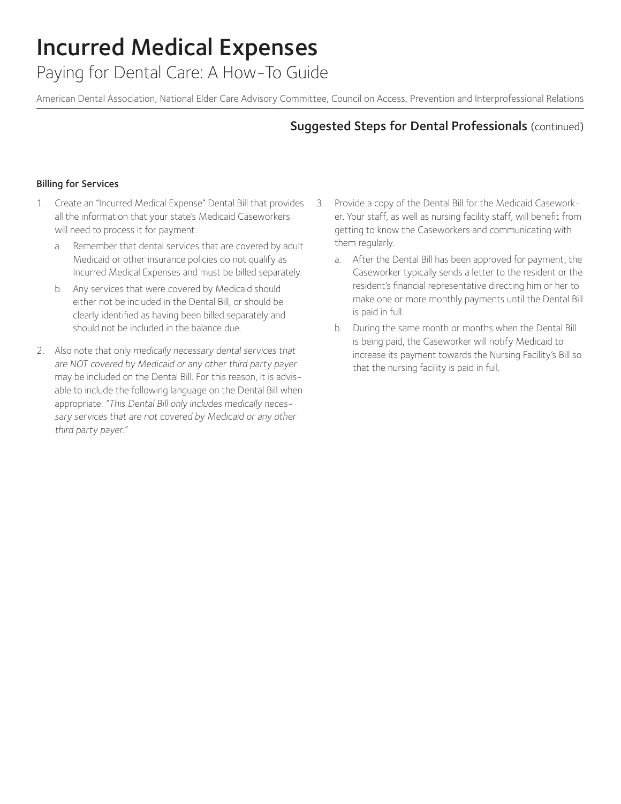Paying for Dental Care: A How-To Guide

American Dental Association, National Elder Care Advisory Committee, Council on Access, Prevention and Interprofessional Relations

## Suggested Steps for Dental Professionals (continued)

### Billing for Services

- 1. Create an "Incurred Medical Expense" Dental Bill that provides all the information that your state's Medicaid Caseworkers will need to process it for payment.
	- a. Remember that dental services that are covered by adult Medicaid or other insurance policies do not qualify as Incurred Medical Expenses and must be billed separately.
	- b. Any services that were covered by Medicaid should either not be included in the Dental Bill, or should be clearly identified as having been billed separately and should not be included in the balance due.
- 2. Also note that only medically necessary dental services that are NOT covered by Medicaid or any other third party payer may be included on the Dental Bill. For this reason, it is advisable to include the following language on the Dental Bill when appropriate: "This Dental Bill only includes medically necessary services that are not covered by Medicaid or any other third party payer."
- 3. Provide a copy of the Dental Bill for the Medicaid Caseworker. Your staff, as well as nursing facility staff, will benefit from getting to know the Caseworkers and communicating with them regularly.
	- After the Dental Bill has been approved for payment, the Caseworker typically sends a letter to the resident or the resident's financial representative directing him or her to make one or more monthly payments until the Dental Bill is paid in full.
	- b. During the same month or months when the Dental Bill is being paid, the Caseworker will notify Medicaid to increase its payment towards the Nursing Facility's Bill so that the nursing facility is paid in full.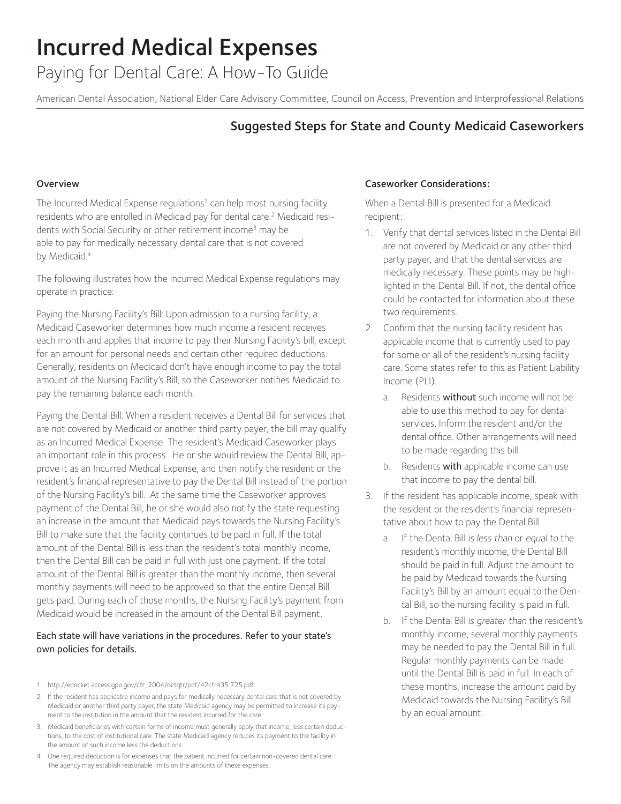Paying for Dental Care: A How-To Guide

American Dental Association, National Elder Care Advisory Committee, Council on Access, Prevention and Interprofessional Relations

## Suggested Steps for State and County Medicaid Caseworkers

### Overview

The Incurred Medical Expense regulations<sup>1</sup> can help most nursing facility residents who are enrolled in Medicaid pay for dental care.2 Medicaid residents with Social Security or other retirement income<sup>3</sup> may be able to pay for medically necessary dental care that is not covered by Medicaid.<sup>4</sup>

The following illustrates how the Incurred Medical Expense regulations may operate in practice:

Paying the Nursing Facility's Bill: Upon admission to a nursing facility, a Medicaid Caseworker determines how much income a resident receives each month and applies that income to pay their Nursing Facility's bill, except for an amount for personal needs and certain other required deductions. Generally, residents on Medicaid don't have enough income to pay the total amount of the Nursing Facility's Bill, so the Caseworker notifies Medicaid to pay the remaining balance each month.

Paying the Dental Bill: When a resident receives a Dental Bill for services that are not covered by Medicaid or another third party payer, the bill may qualify as an Incurred Medical Expense. The resident's Medicaid Caseworker plays an important role in this process. He or she would review the Dental Bill, approve it as an Incurred Medical Expense, and then notify the resident or the resident's financial representative to pay the Dental Bill instead of the portion of the Nursing Facility's bill. At the same time the Caseworker approves payment of the Dental Bill, he or she would also notify the state requesting an increase in the amount that Medicaid pays towards the Nursing Facility's Bill to make sure that the facility continues to be paid in full. If the total amount of the Dental Bill is less than the resident's total monthly income, then the Dental Bill can be paid in full with just one payment. If the total amount of the Dental Bill is greater than the monthly income, then several monthly payments will need to be approved so that the entire Dental Bill gets paid. During each of those months, the Nursing Facility's payment from Medicaid would be increased in the amount of the Dental Bill payment.

### Each state will have variations in the procedures. Refer to your state's own policies for details.

- 1. http://edocket.access.gpo.gov/cfr\_2004/octqtr/pdf/42cfr435.725.pdf
- 2. If the resident has applicable income and pays for medically necessary dental care that is not covered by Medicaid or another third party payer, the state Medicaid agency may be permitted to increase its payment to the institution in the amount that the resident incurred for the care.
- 3. Medicaid beneficiaries with certain forms of income must generally apply that income, less certain deductions, to the cost of institutional care. The state Medicaid agency reduces its payment to the facility in the amount of such income less the deductions.
- 4. One required deduction is for expenses that the patient incurred for certain non-covered dental care. The agency may establish reasonable limits on the amounts of these expenses.

#### Caseworker Considerations:

When a Dental Bill is presented for a Medicaid recipient:

- 1. Verify that dental services listed in the Dental Bill are not covered by Medicaid or any other third party payer, and that the dental services are medically necessary. These points may be highlighted in the Dental Bill. If not, the dental office could be contacted for information about these two requirements.
- 2. Confirm that the nursing facility resident has applicable income that is currently used to pay for some or all of the resident's nursing facility care. Some states refer to this as Patient Liability Income (PLI).
	- a. Residents without such income will not be able to use this method to pay for dental services. Inform the resident and/or the dental office. Other arrangements will need to be made regarding this bill.
	- b. Residents with applicable income can use that income to pay the dental bill.
- 3. If the resident has applicable income, speak with the resident or the resident's financial representative about how to pay the Dental Bill.
	- a. If the Dental Bill is less than or equal to the resident's monthly income, the Dental Bill should be paid in full. Adjust the amount to be paid by Medicaid towards the Nursing Facility's Bill by an amount equal to the Dental Bill, so the nursing facility is paid in full.
	- b. If the Dental Bill is greater than the resident's monthly income, several monthly payments may be needed to pay the Dental Bill in full. Regular monthly payments can be made until the Dental Bill is paid in full. In each of these months, increase the amount paid by Medicaid towards the Nursing Facility's Bill by an equal amount.